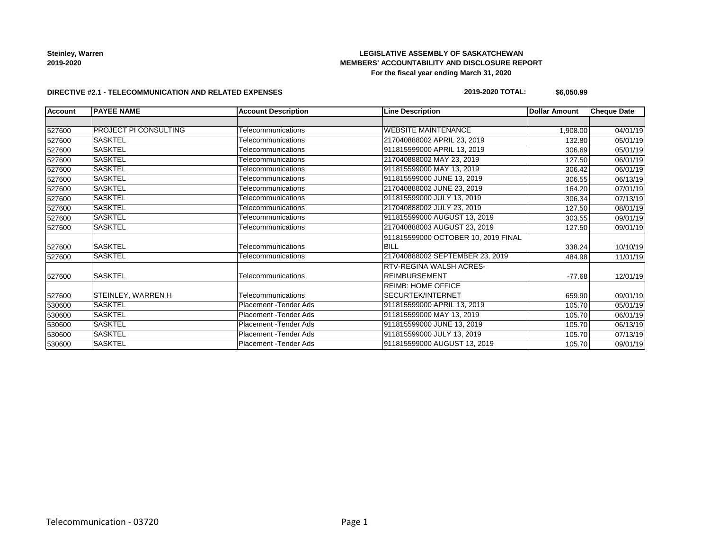# **LEGISLATIVE ASSEMBLY OF SASKATCHEWAN MEMBERS' ACCOUNTABILITY AND DISCLOSURE REPORT For the fiscal year ending March 31, 2020**

#### **DIRECTIVE #2.1 - TELECOMMUNICATION AND RELATED EXPENSES**

### **2019-2020 TOTAL: \$6,050.99**

| <b>Account</b> | <b>PAYEE NAME</b>            | <b>Account Description</b>    | <b>Line Description</b>             | Dollar Amount | <b>Cheque Date</b> |
|----------------|------------------------------|-------------------------------|-------------------------------------|---------------|--------------------|
|                |                              |                               |                                     |               |                    |
| 527600         | <b>PROJECT PI CONSULTING</b> | Telecommunications            | <b>WEBSITE MAINTENANCE</b>          | 1,908.00      | 04/01/19           |
| 527600         | <b>SASKTEL</b>               | Telecommunications            | 217040888002 APRIL 23, 2019         | 132.80        | 05/01/19           |
| 527600         | <b>SASKTEL</b>               | Telecommunications            | 911815599000 APRIL 13, 2019         | 306.69        | 05/01/19           |
| 527600         | <b>SASKTEL</b>               | Telecommunications            | 217040888002 MAY 23, 2019           | 127.50        | 06/01/19           |
| 527600         | <b>SASKTEL</b>               | Telecommunications            | 911815599000 MAY 13, 2019           | 306.42        | 06/01/19           |
| 527600         | <b>SASKTEL</b>               | Telecommunications            | 911815599000 JUNE 13, 2019          | 306.55        | 06/13/19           |
| 527600         | <b>SASKTEL</b>               | Telecommunications            | 217040888002 JUNE 23, 2019          | 164.20        | 07/01/19           |
| 527600         | <b>SASKTEL</b>               | Telecommunications            | 911815599000 JULY 13, 2019          | 306.34        | 07/13/19           |
| 527600         | <b>SASKTEL</b>               | Telecommunications            | 217040888002 JULY 23, 2019          | 127.50        | 08/01/19           |
| 527600         | <b>SASKTEL</b>               | Telecommunications            | 911815599000 AUGUST 13, 2019        | 303.55        | 09/01/19           |
| 527600         | <b>SASKTEL</b>               | Telecommunications            | 217040888003 AUGUST 23, 2019        | 127.50        | 09/01/19           |
|                |                              |                               | 911815599000 OCTOBER 10, 2019 FINAL |               |                    |
| 527600         | <b>SASKTEL</b>               | Telecommunications            | <b>BILL</b>                         | 338.24        | 10/10/19           |
| 527600         | <b>SASKTEL</b>               | Telecommunications            | 217040888002 SEPTEMBER 23, 2019     | 484.98        | 11/01/19           |
|                |                              |                               | RTV-REGINA WALSH ACRES-             |               |                    |
| 527600         | <b>SASKTEL</b>               | Telecommunications            | <b>REIMBURSEMENT</b>                | $-77.68$      | 12/01/19           |
|                |                              |                               | <b>REIMB: HOME OFFICE</b>           |               |                    |
| 527600         | STEINLEY, WARREN H           | Telecommunications            | SECURTEK/INTERNET                   | 659.90        | 09/01/19           |
| 530600         | <b>SASKTEL</b>               | <b>Placement - Tender Ads</b> | 911815599000 APRIL 13, 2019         | 105.70        | 05/01/19           |
| 530600         | <b>SASKTEL</b>               | Placement - Tender Ads        | 911815599000 MAY 13, 2019           | 105.70        | 06/01/19           |
| 530600         | <b>SASKTEL</b>               | Placement - Tender Ads        | 911815599000 JUNE 13, 2019          | 105.70        | 06/13/19           |
| 530600         | <b>SASKTEL</b>               | Placement - Tender Ads        | 911815599000 JULY 13, 2019          | 105.70        | 07/13/19           |
| 530600         | <b>SASKTEL</b>               | Placement - Tender Ads        | 911815599000 AUGUST 13, 2019        | 105.70        | 09/01/19           |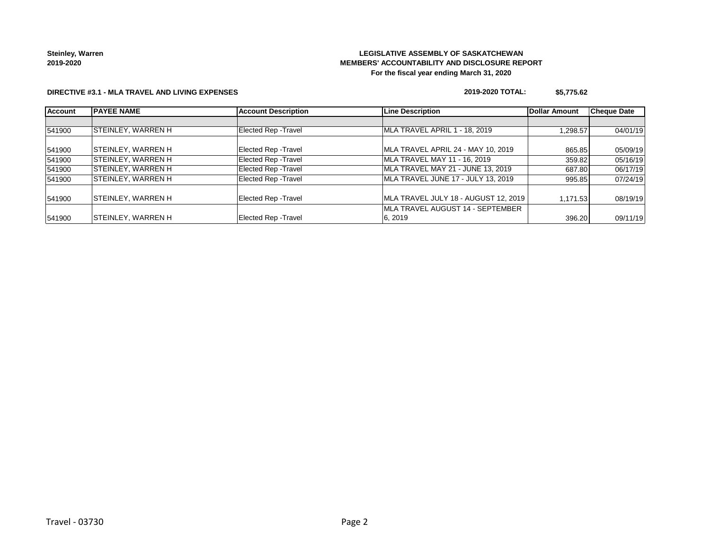# **LEGISLATIVE ASSEMBLY OF SASKATCHEWAN MEMBERS' ACCOUNTABILITY AND DISCLOSURE REPORT For the fiscal year ending March 31, 2020**

### **DIRECTIVE #3.1 - MLA TRAVEL AND LIVING EXPENSES**

### **2019-2020 TOTAL: \$5,775.62**

| <b>Account</b> | <b>PAYEE NAME</b>         | <b>Account Description</b>  | <b>Line Description</b>                  | Dollar Amount | <b>Cheque Date</b> |
|----------------|---------------------------|-----------------------------|------------------------------------------|---------------|--------------------|
|                |                           |                             |                                          |               |                    |
| 541900         | <b>STEINLEY, WARREN H</b> | Elected Rep - Travel        | MLA TRAVEL APRIL 1 - 18, 2019            | 1,298.57      | 04/01/19           |
| 541900         | <b>STEINLEY, WARREN H</b> | <b>Elected Rep - Travel</b> | MLA TRAVEL APRIL 24 - MAY 10, 2019       | 865.85        | 05/09/19           |
| 541900         | <b>STEINLEY, WARREN H</b> | <b>Elected Rep - Travel</b> | MLA TRAVEL MAY 11 - 16, 2019             | 359.82        | 05/16/19           |
| 541900         | <b>STEINLEY, WARREN H</b> | <b>Elected Rep - Travel</b> | MLA TRAVEL MAY 21 - JUNE 13, 2019        | 687.80        | 06/17/19           |
| 541900         | <b>STEINLEY, WARREN H</b> | <b>Elected Rep - Travel</b> | MLA TRAVEL JUNE 17 - JULY 13, 2019       | 995.85        | 07/24/19           |
| 541900         | <b>STEINLEY, WARREN H</b> | <b>Elected Rep - Travel</b> | MLA TRAVEL JULY 18 - AUGUST 12, 2019     | 1,171.53      | 08/19/19           |
|                |                           |                             | <b>IMLA TRAVEL AUGUST 14 - SEPTEMBER</b> |               |                    |
| 541900         | <b>STEINLEY, WARREN H</b> | <b>Elected Rep - Travel</b> | 6.2019                                   | 396.20        | 09/11/19           |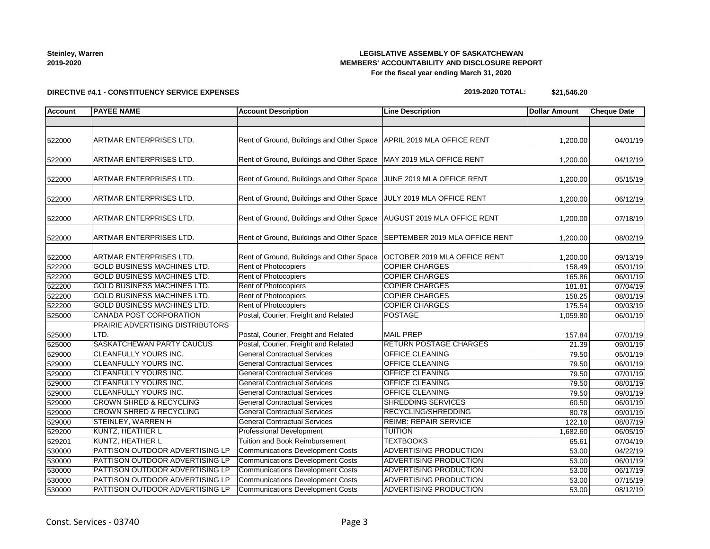# **LEGISLATIVE ASSEMBLY OF SASKATCHEWAN MEMBERS' ACCOUNTABILITY AND DISCLOSURE REPORT For the fiscal year ending March 31, 2020**

### **DIRECTIVE #4.1 - CONSTITUENCY SERVICE EXPENSES**

# **2019-2020 TOTAL: \$21,546.20**

| <b>Account</b> | <b>PAYEE NAME</b>                  | <b>Account Description</b>                                               | <b>Line Description</b>       | <b>Dollar Amount</b> | <b>Cheque Date</b> |
|----------------|------------------------------------|--------------------------------------------------------------------------|-------------------------------|----------------------|--------------------|
|                |                                    |                                                                          |                               |                      |                    |
| 522000         | ARTMAR ENTERPRISES LTD.            | Rent of Ground, Buildings and Other Space   APRIL 2019 MLA OFFICE RENT   |                               | 1,200.00             | 04/01/19           |
| 522000         | ARTMAR ENTERPRISES LTD.            | Rent of Ground, Buildings and Other Space   MAY 2019 MLA OFFICE RENT     |                               | 1,200.00             | 04/12/19           |
| 522000         | ARTMAR ENTERPRISES LTD.            | Rent of Ground, Buildings and Other Space JUNE 2019 MLA OFFICE RENT      |                               | 1,200.00             | 05/15/19           |
| 522000         | ARTMAR ENTERPRISES LTD.            | Rent of Ground, Buildings and Other Space JULY 2019 MLA OFFICE RENT      |                               | 1,200.00             | 06/12/19           |
| 522000         | ARTMAR ENTERPRISES LTD.            | Rent of Ground, Buildings and Other Space   AUGUST 2019 MLA OFFICE RENT  |                               | 1,200.00             | 07/18/19           |
| 522000         | ARTMAR ENTERPRISES LTD.            | Rent of Ground, Buildings and Other Space SEPTEMBER 2019 MLA OFFICE RENT |                               | 1,200.00             | 08/02/19           |
| 522000         | ARTMAR ENTERPRISES LTD.            | Rent of Ground, Buildings and Other Space   OCTOBER 2019 MLA OFFICE RENT |                               | 1,200.00             | 09/13/19           |
| 522200         | GOLD BUSINESS MACHINES LTD.        | <b>Rent of Photocopiers</b>                                              | <b>COPIER CHARGES</b>         | 158.49               | 05/01/19           |
| 522200         | GOLD BUSINESS MACHINES LTD.        | <b>Rent of Photocopiers</b>                                              | <b>COPIER CHARGES</b>         | 165.86               | 06/01/19           |
| 522200         | <b>GOLD BUSINESS MACHINES LTD.</b> | Rent of Photocopiers                                                     | <b>COPIER CHARGES</b>         | 181.81               | 07/04/19           |
| 522200         | <b>GOLD BUSINESS MACHINES LTD.</b> | Rent of Photocopiers                                                     | <b>COPIER CHARGES</b>         | 158.25               | 08/01/19           |
| 522200         | GOLD BUSINESS MACHINES LTD.        | <b>Rent of Photocopiers</b>                                              | <b>COPIER CHARGES</b>         | 175.54               | 09/03/19           |
| 525000         | CANADA POST CORPORATION            | Postal, Courier, Freight and Related                                     | <b>POSTAGE</b>                | 1,059.80             | 06/01/19           |
|                | PRAIRIE ADVERTISING DISTRIBUTORS   |                                                                          |                               |                      |                    |
| 525000         | LTD.                               | Postal, Courier, Freight and Related                                     | <b>MAIL PREP</b>              | 157.84               | 07/01/19           |
| 525000         | SASKATCHEWAN PARTY CAUCUS          | Postal, Courier, Freight and Related                                     | <b>RETURN POSTAGE CHARGES</b> | 21.39                | 09/01/19           |
| 529000         | CLEANFULLY YOURS INC.              | <b>General Contractual Services</b>                                      | <b>OFFICE CLEANING</b>        | 79.50                | 05/01/19           |
| 529000         | CLEANFULLY YOURS INC.              | <b>General Contractual Services</b>                                      | <b>OFFICE CLEANING</b>        | 79.50                | 06/01/19           |
| 529000         | CLEANFULLY YOURS INC.              | <b>General Contractual Services</b>                                      | OFFICE CLEANING               | 79.50                | 07/01/19           |
| 529000         | CLEANFULLY YOURS INC.              | <b>General Contractual Services</b>                                      | OFFICE CLEANING               | 79.50                | 08/01/19           |
| 529000         | CLEANFULLY YOURS INC.              | <b>General Contractual Services</b>                                      | <b>OFFICE CLEANING</b>        | 79.50                | 09/01/19           |
| 529000         | <b>CROWN SHRED &amp; RECYCLING</b> | <b>General Contractual Services</b>                                      | <b>SHREDDING SERVICES</b>     | 60.50                | 06/01/19           |
| 529000         | <b>CROWN SHRED &amp; RECYCLING</b> | <b>General Contractual Services</b>                                      | RECYCLING/SHREDDING           | 80.78                | 09/01/19           |
| 529000         | STEINLEY, WARREN H                 | <b>General Contractual Services</b>                                      | <b>REIMB: REPAIR SERVICE</b>  | 122.10               | 08/07/19           |
| 529200         | KUNTZ, HEATHER L                   | <b>Professional Development</b>                                          | <b>TUITION</b>                | 1,682.60             | 06/05/19           |
| 529201         | <b>KUNTZ, HEATHER L</b>            | Tuition and Book Reimbursement                                           | <b>TEXTBOOKS</b>              | 65.61                | 07/04/19           |
| 530000         | PATTISON OUTDOOR ADVERTISING LP    | <b>Communications Development Costs</b>                                  | <b>ADVERTISING PRODUCTION</b> | 53.00                | 04/22/19           |
| 530000         | PATTISON OUTDOOR ADVERTISING LP    | <b>Communications Development Costs</b>                                  | ADVERTISING PRODUCTION        | 53.00                | 06/01/19           |
| 530000         | PATTISON OUTDOOR ADVERTISING LP    | <b>Communications Development Costs</b>                                  | ADVERTISING PRODUCTION        | 53.00                | 06/17/19           |
| 530000         | PATTISON OUTDOOR ADVERTISING LP    | <b>Communications Development Costs</b>                                  | ADVERTISING PRODUCTION        | 53.00                | 07/15/19           |
| 530000         | PATTISON OUTDOOR ADVERTISING LP    | <b>Communications Development Costs</b>                                  | ADVERTISING PRODUCTION        | 53.00                | 08/12/19           |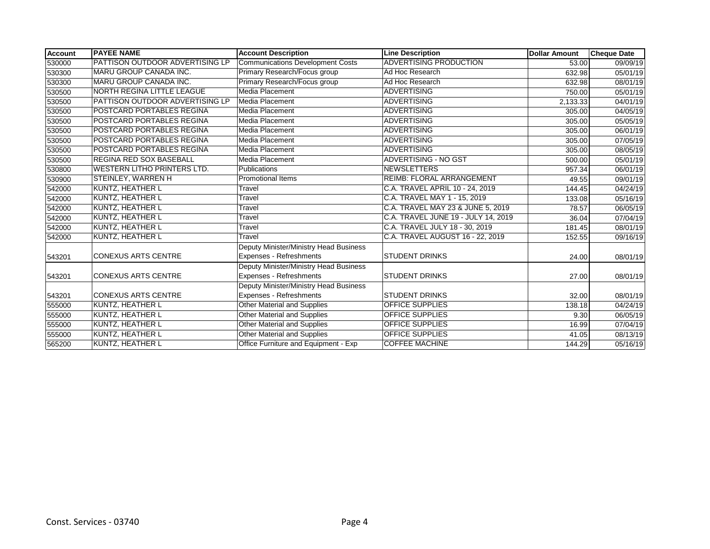| <b>Account</b> | <b>PAYEE NAME</b>                      | <b>Account Description</b>             | <b>Line Description</b>             | <b>Dollar Amount</b> | <b>Cheque Date</b> |
|----------------|----------------------------------------|----------------------------------------|-------------------------------------|----------------------|--------------------|
| 530000         | <b>PATTISON OUTDOOR ADVERTISING LP</b> | Communications Development Costs       | <b>ADVERTISING PRODUCTION</b>       | 53.00                | 09/09/19           |
| 530300         | <b>MARU GROUP CANADA INC.</b>          | Primary Research/Focus group           | Ad Hoc Research                     | 632.98               | 05/01/19           |
| 530300         | MARU GROUP CANADA INC.                 | Primary Research/Focus group           | Ad Hoc Research                     | 632.98               | 08/01/19           |
| 530500         | NORTH REGINA LITTLE LEAGUE             | <b>Media Placement</b>                 | <b>ADVERTISING</b>                  | 750.00               | 05/01/19           |
| 530500         | PATTISON OUTDOOR ADVERTISING LP        | Media Placement                        | <b>ADVERTISING</b>                  | 2,133.33             | 04/01/19           |
| 530500         | POSTCARD PORTABLES REGINA              | Media Placement                        | <b>ADVERTISING</b>                  | 305.00               | 04/05/19           |
| 530500         | POSTCARD PORTABLES REGINA              | Media Placement                        | <b>ADVERTISING</b>                  | 305.00               | 05/05/19           |
| 530500         | POSTCARD PORTABLES REGINA              | <b>Media Placement</b>                 | <b>ADVERTISING</b>                  | 305.00               | 06/01/19           |
| 530500         | POSTCARD PORTABLES REGINA              | Media Placement                        | <b>ADVERTISING</b>                  | 305.00               | 07/05/19           |
| 530500         | POSTCARD PORTABLES REGINA              | Media Placement                        | <b>ADVERTISING</b>                  | 305.00               | 08/05/19           |
| 530500         | <b>REGINA RED SOX BASEBALL</b>         | Media Placement                        | <b>ADVERTISING - NO GST</b>         | 500.00               | 05/01/19           |
| 530800         | <b>WESTERN LITHO PRINTERS LTD.</b>     | Publications                           | <b>NEWSLETTERS</b>                  | 957.34               | 06/01/19           |
| 530900         | <b>STEINLEY, WARREN H</b>              | <b>Promotional Items</b>               | <b>REIMB: FLORAL ARRANGEMENT</b>    | 49.55                | 09/01/19           |
| 542000         | <b>KUNTZ, HEATHER L</b>                | Travel                                 | C.A. TRAVEL APRIL 10 - 24, 2019     | 144.45               | 04/24/19           |
| 542000         | KUNTZ, HEATHER L                       | Travel                                 | C.A. TRAVEL MAY 1 - 15, 2019        | 133.08               | 05/16/19           |
| 542000         | <b>KUNTZ, HEATHER L</b>                | Travel                                 | C.A. TRAVEL MAY 23 & JUNE 5, 2019   | 78.57                | 06/05/19           |
| 542000         | <b>KUNTZ, HEATHER L</b>                | Travel                                 | C.A. TRAVEL JUNE 19 - JULY 14, 2019 | 36.04                | 07/04/19           |
| 542000         | KUNTZ, HEATHER L                       | Travel                                 | C.A. TRAVEL JULY 18 - 30, 2019      | 181.45               | 08/01/19           |
| 542000         | KUNTZ, HEATHER L                       | Travel                                 | C.A. TRAVEL AUGUST 16 - 22, 2019    | 152.55               | 09/16/19           |
|                |                                        | Deputy Minister/Ministry Head Business |                                     |                      |                    |
| 543201         | <b>CONEXUS ARTS CENTRE</b>             | <b>Expenses - Refreshments</b>         | <b>STUDENT DRINKS</b>               | 24.00                | 08/01/19           |
|                |                                        | Deputy Minister/Ministry Head Business |                                     |                      |                    |
| 543201         | <b>CONEXUS ARTS CENTRE</b>             | <b>Expenses - Refreshments</b>         | <b>STUDENT DRINKS</b>               | 27.00                | 08/01/19           |
|                |                                        | Deputy Minister/Ministry Head Business |                                     |                      |                    |
| 543201         | <b>CONEXUS ARTS CENTRE</b>             | <b>Expenses - Refreshments</b>         | <b>STUDENT DRINKS</b>               | 32.00                | 08/01/19           |
| 555000         | <b>KUNTZ, HEATHER L</b>                | Other Material and Supplies            | <b>OFFICE SUPPLIES</b>              | 138.18               | $\sqrt{04}/24/19$  |
| 555000         | KUNTZ, HEATHER L                       | Other Material and Supplies            | <b>OFFICE SUPPLIES</b>              | 9.30                 | 06/05/19           |
| 555000         | KUNTZ, HEATHER L                       | Other Material and Supplies            | <b>OFFICE SUPPLIES</b>              | 16.99                | 07/04/19           |
| 555000         | KUNTZ, HEATHER L                       | <b>Other Material and Supplies</b>     | <b>OFFICE SUPPLIES</b>              | 41.05                | 08/13/19           |
| 565200         | KUNTZ, HEATHER L                       | Office Furniture and Equipment - Exp   | <b>COFFEE MACHINE</b>               | 144.29               | 05/16/19           |